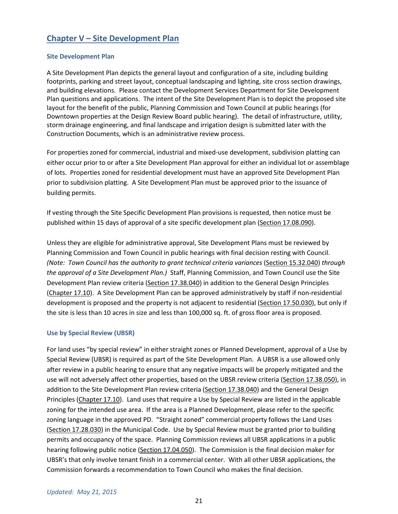# **Chapter V – Site Development Plan**

#### **Site Development Plan**

A Site Development Plan depicts the general layout and configuration of a site, including building footprints, parking and street layout, conceptual landscaping and lighting, site cross section drawings, and building elevations. Please contact the Development Services Department for Site Development Plan questions and applications. The intent of the Site Development Plan is to depict the proposed site layout for the benefit of the public, Planning Commission and Town Council at public hearings (for Downtown properties at the Design Review Board public hearing). The detail of infrastructure, utility, storm drainage engineering, and final landscape and irrigation design is submitted later with the Construction Documents, which is an administrative review process.

For properties zoned for commercial, industrial and mixed-use development, subdivision platting can either occur prior to or after a Site Development Plan approval for either an individual lot or assemblage of lots. Properties zoned for residential development must have an approved Site Development Plan prior to subdivision platting. A Site Development Plan must be approved prior to the issuance of building permits.

If vesting through the Site Specific Development Plan provisions is requested, then notice must be published within 15 days of approval of a site specific development plan (Section 17.08.090).

Unless they are eligible for administrative approval, Site Development Plans must be reviewed by Planning Commission and Town Council in public hearings with final decision resting with Council. *(Note: Town Council has the authority to grant technical criteria variances* (Section 15.32.040) *through the approval of a Site Development Plan.)* Staff, Planning Commission, and Town Council use the Site Development Plan review criteria (Section 17.38.040) in addition to the General Design Principles (Chapter 17.10). A Site Development Plan can be approved administratively by staff if non-residential development is proposed and the property is not adjacent to residential (Section 17.50.030), but only if the site is less than 10 acres in size and less than 100,000 sq. ft. of gross floor area is proposed.

# **Use by Special Review (UBSR)**

For land uses "by special review" in either straight zones or Planned Development, approval of a Use by Special Review (UBSR) is required as part of the Site Development Plan.A UBSR is a use allowed only after review in a public hearing to ensure that any negative impacts will be properly mitigated and the use will not adversely affect other properties, based on the UBSR review criteria (Section 17.38.050), in addition to the Site Development Plan review criteria (Section 17.38.040) and the General Design Principles (Chapter 17.10). Land uses that require a Use by Special Review are listed in the applicable zoning for the intended use area. If the area is a Planned Development, please refer to the specific zoning language in the approved PD. "Straight zoned" commercial property follows the Land Uses (Section 17.28.030) in the Municipal Code. Use by Special Review must be granted prior to building permits and occupancy of the space. Planning Commission reviews all UBSR applications in a public hearing following public notice (Section 17.04.050). The Commission is the final decision maker for UBSR's that only involve tenant finish in a commercial center. With all other UBSR applications, the Commission forwards a recommendation to Town Council who makes the final decision.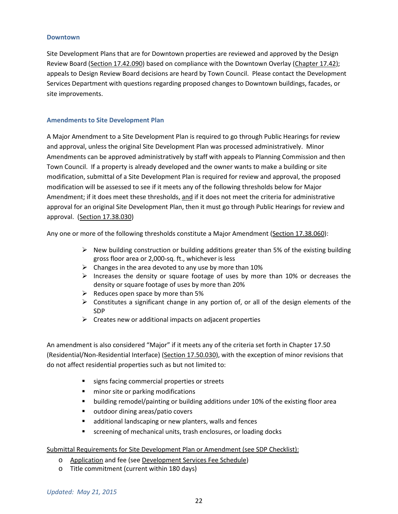#### **Downtown**

Site Development Plans that are for Downtown properties are reviewed and approved by the Design Review Board (Section 17.42.090) based on compliance with the Downtown Overlay (Chapter 17.42); appeals to Design Review Board decisions are heard by Town Council. Please contact the Development Services Department with questions regarding proposed changes to Downtown buildings, facades, or site improvements.

#### **Amendments to Site Development Plan**

A Major Amendment to a Site Development Plan is required to go through Public Hearings for review and approval, unless the original Site Development Plan was processed administratively. Minor Amendments can be approved administratively by staff with appeals to Planning Commission and then Town Council. If a property is already developed and the owner wants to make a building or site modification, submittal of a Site Development Plan is required for review and approval, the proposed modification will be assessed to see if it meets any of the following thresholds below for Major Amendment; if it does meet these thresholds, and if it does not meet the criteria for administrative approval for an original Site Development Plan, then it must go through Public Hearings for review and approval. (Section 17.38.030)

Any one or more of the following thresholds constitute a Major Amendment (Section 17.38.060):

- $\triangleright$  New building construction or building additions greater than 5% of the existing building gross floor area or 2,000-sq. ft., whichever is less
- $\triangleright$  Changes in the area devoted to any use by more than 10%
- $\triangleright$  Increases the density or square footage of uses by more than 10% or decreases the density or square footage of uses by more than 20%
- $\triangleright$  Reduces open space by more than 5%
- $\triangleright$  Constitutes a significant change in any portion of, or all of the design elements of the SDP
- $\triangleright$  Creates new or additional impacts on adjacent properties

An amendment is also considered "Major" if it meets any of the criteria set forth in Chapter 17.50 (Residential/Non-Residential Interface) (Section 17.50.030), with the exception of minor revisions that do not affect residential properties such as but not limited to:

- signs facing commercial properties or streets
- **numinor site or parking modifications**
- building remodel/painting or building additions under 10% of the existing floor area
- outdoor dining areas/patio covers
- **E** additional landscaping or new planters, walls and fences
- **EXP** screening of mechanical units, trash enclosures, or loading docks

# Submittal Requirements for Site Development Plan or Amendment (see SDP Checklist):

- o Application and fee (see Development Services Fee Schedule)
- o Title commitment (current within 180 days)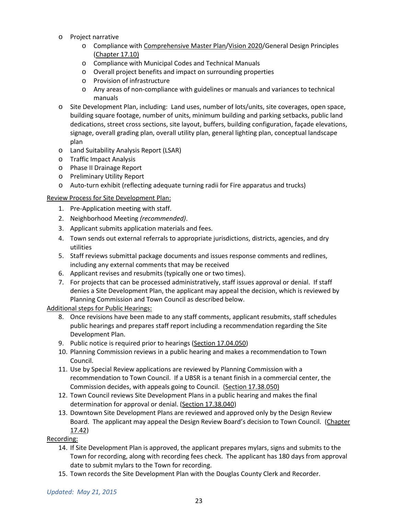- o Project narrative
	- o Compliance with Comprehensive Master Plan/Vision 2020/General Design Principles (Chapter 17.10)
	- o Compliance with Municipal Codes and Technical Manuals
	- o Overall project benefits and impact on surrounding properties
	- o Provision of infrastructure
	- o Any areas of non-compliance with guidelines or manuals and variances to technical manuals
- o Site Development Plan, including: Land uses, number of lots/units, site coverages, open space, building square footage, number of units, minimum building and parking setbacks, public land dedications, street cross sections, site layout, buffers, building configuration, façade elevations, signage, overall grading plan, overall utility plan, general lighting plan, conceptual landscape plan
- o Land Suitability Analysis Report (LSAR)
- o Traffic Impact Analysis
- o Phase II Drainage Report
- o Preliminary Utility Report
- o Auto-turn exhibit (reflecting adequate turning radii for Fire apparatus and trucks)

# Review Process for Site Development Plan:

- 1. Pre-Application meeting with staff.
- 2. Neighborhood Meeting *(recommended)*.
- 3. Applicant submits application materials and fees.
- 4. Town sends out external referrals to appropriate jurisdictions, districts, agencies, and dry utilities
- 5. Staff reviews submittal package documents and issues response comments and redlines, including any external comments that may be received
- 6. Applicant revises and resubmits (typically one or two times).
- 7. For projects that can be processed administratively, staff issues approval or denial. If staff denies a Site Development Plan, the applicant may appeal the decision, which is reviewed by Planning Commission and Town Council as described below.

# Additional steps for Public Hearings:

- 8. Once revisions have been made to any staff comments, applicant resubmits, staff schedules public hearings and prepares staff report including a recommendation regarding the Site Development Plan.
- 9. Public notice is required prior to hearings (Section 17.04.050)
- 10. Planning Commission reviews in a public hearing and makes a recommendation to Town Council.
- 11. Use by Special Review applications are reviewed by Planning Commission with a recommendation to Town Council. If a UBSR is a tenant finish in a commercial center, the Commission decides, with appeals going to Council. (Section 17.38.050)
- 12. Town Council reviews Site Development Plans in a public hearing and makes the final determination for approval or denial. (Section 17.38.040)
- 13. Downtown Site Development Plans are reviewed and approved only by the Design Review Board. The applicant may appeal the Design Review Board's decision to Town Council. (Chapter 17.42)

# Recording:

- 14. If Site Development Plan is approved, the applicant prepares mylars, signs and submits to the Town for recording, along with recording fees check. The applicant has 180 days from approval date to submit mylars to the Town for recording.
- 15. Town records the Site Development Plan with the Douglas County Clerk and Recorder.